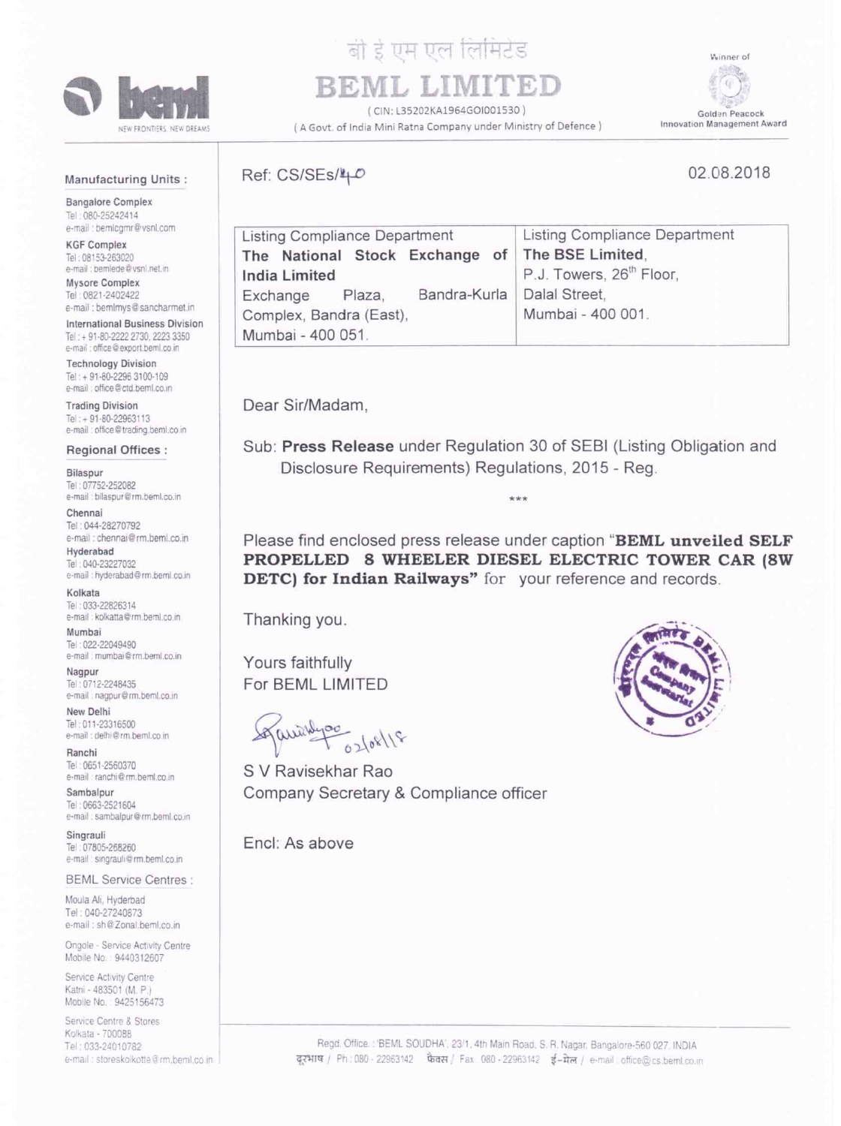

## बी ई एम एल लिमिटेड

BEML LIM

(CIN: L35202KA1964GOI001530) (A Govt. of India Mini Ratna Company under Ministry of Defence)

Winner of  $G$ Golden Peacock Innovation Management Award

## **Manufacturing Units:**

02.08.2018

**Bangalore Complex** Tel: 080-25242414 e-mail: bemlogmr@vsnl.com

**KGF Complex** Tel: 08153-263020 e-mail : bemlede@vsnl.net.in

Mysore Complex Tel: 0821-2402422 e-mail : bemlmys@sancharmet.in

**International Business Division** Tel: + 91-80-2222 2730, 2223 3350 e-mail : office@export.beml.co.in

**Technology Division** Tel: + 91-80-2296 3100-109 e-mail : office@ctd.beml.co.in

**Trading Division** Tel: +91-80-22963113 e-mail: office@trading.beml.co.in

## Regional Offices :

Bilaspur Tel: 07752-252082 e-mail : bilaspur@rm.beml.co.in

Chennai Tel: 044-28270792 e-mail : chennai@rm.beml.co.in

Hyderabad Tel: 040-23227032 e-mail : hyderabad@rm.beml.co.in

Kolkata Tel: 033-22826314 e-mail : kolkatta@rm.beml.co.in

Mumbai Tel: 022-22049490 e-mail : mumbai@rm.beml.co.in

Nagpur Tel: 0712-2248435 e-mail : nagpur@rm.beml.co.in

New Delhi Tel: 011-23316500 e-mail : delhi@rm.beml.co.in

Ranchi Tel: 0651-2560370 e-mail : ranchi@rm.beml.co.in

Sambalpur Tel: 0663-2521604 e-mail : sambalpur@rm.beml.co.in

Singrauli Tel: 07805-268260 e-mail : singrauli@rm.beml.co.in

**BEML Service Centres:** 

Moula Ali, Hyderbad Tel: 040-27240873 e-mail: sh@Zonal.beml.co.in

Ongole - Service Activity Centre Mobile No.: 9440312607

Service Activity Centre Katni - 483501 (M. P.) Mobile No.: 9425156473

Service Centre & Stores Kolkata - 700088 Tel: 033-24010782 e-mail : storeskolkotte@rm,beml.co.in Ref: CS/SEs/40

| <b>Listing Compliance Department</b> |  |                              | <b>Listing Compliance Department</b>            |
|--------------------------------------|--|------------------------------|-------------------------------------------------|
|                                      |  |                              | The National Stock Exchange of The BSE Limited. |
| <b>India Limited</b>                 |  |                              | P.J. Towers, 26 <sup>th</sup> Floor,            |
| Exchange Plaza,                      |  | Bandra-Kurla   Dalal Street, |                                                 |
| Complex, Bandra (East),              |  |                              | Mumbai - 400 001.                               |
| Mumbai - 400 051.                    |  |                              |                                                 |

Dear Sir/Madam.

Sub: Press Release under Regulation 30 of SEBI (Listing Obligation and Disclosure Requirements) Regulations, 2015 - Reg.

 $***$ 

Please find enclosed press release under caption "BEML unveiled SELF PROPELLED 8 WHEELER DIESEL ELECTRIC TOWER CAR (8W) **DETC)** for Indian Railways" for your reference and records.

Thanking you.

Yours faithfully For BEML LIMITED

Squiring 02/08/18

S V Ravisekhar Rao Company Secretary & Compliance officer

Encl: As above